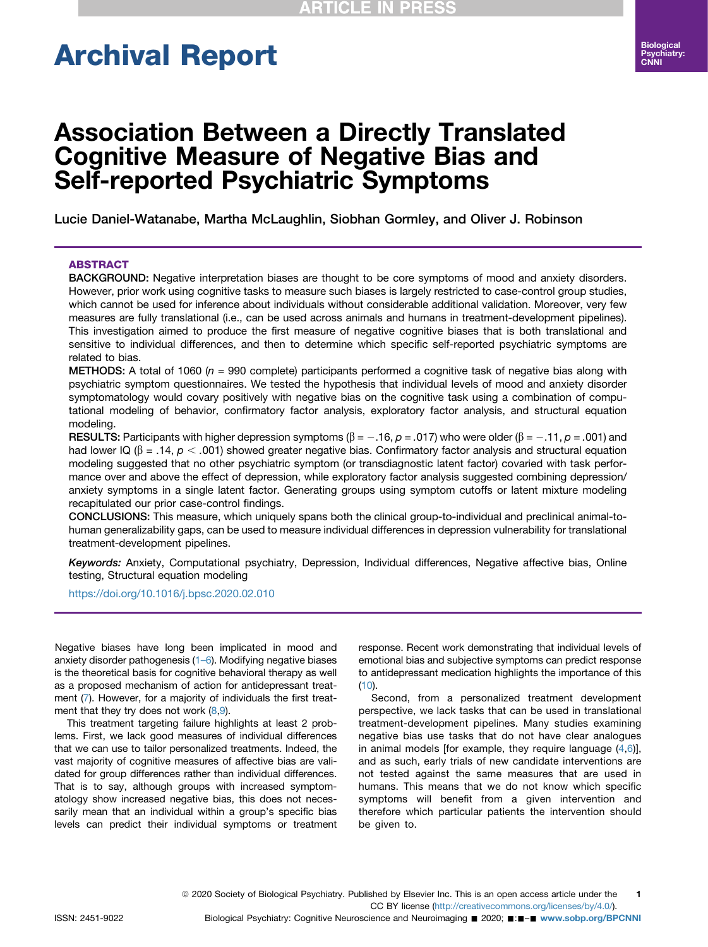# Archival Report

## Association Between a Directly Translated Cognitive Measure of Negative Bias and Self-reported Psychiatric Symptoms

Lucie Daniel-Watanabe, Martha McLaughlin, Siobhan Gormley, and Oliver J. Robinson

#### ABSTRACT

BACKGROUND: Negative interpretation biases are thought to be core symptoms of mood and anxiety disorders. However, prior work using cognitive tasks to measure such biases is largely restricted to case-control group studies, which cannot be used for inference about individuals without considerable additional validation. Moreover, very few measures are fully translational (i.e., can be used across animals and humans in treatment-development pipelines). This investigation aimed to produce the first measure of negative cognitive biases that is both translational and sensitive to individual differences, and then to determine which specific self-reported psychiatric symptoms are related to bias.

**METHODS:** A total of 1060 ( $n = 990$  complete) participants performed a cognitive task of negative bias along with psychiatric symptom questionnaires. We tested the hypothesis that individual levels of mood and anxiety disorder symptomatology would covary positively with negative bias on the cognitive task using a combination of computational modeling of behavior, confirmatory factor analysis, exploratory factor analysis, and structural equation modeling.

RESULTS: Participants with higher depression symptoms ( $\beta = -.16$ ,  $\rho = .017$ ) who were older ( $\beta = -.11$ ,  $\rho = .001$ ) and had lower IQ ( $\beta$  = .14,  $p < .001$ ) showed greater negative bias. Confirmatory factor analysis and structural equation modeling suggested that no other psychiatric symptom (or transdiagnostic latent factor) covaried with task performance over and above the effect of depression, while exploratory factor analysis suggested combining depression/ anxiety symptoms in a single latent factor. Generating groups using symptom cutoffs or latent mixture modeling recapitulated our prior case-control findings.

CONCLUSIONS: This measure, which uniquely spans both the clinical group-to-individual and preclinical animal-tohuman generalizability gaps, can be used to measure individual differences in depression vulnerability for translational treatment-development pipelines.

Keywords: Anxiety, Computational psychiatry, Depression, Individual differences, Negative affective bias, Online testing, Structural equation modeling

#### <https://doi.org/10.1016/j.bpsc.2020.02.010>

Negative biases have long been implicated in mood and anxiety disorder pathogenesis [\(1](#page-8-0)–6). Modifying negative biases is the theoretical basis for cognitive behavioral therapy as well as a proposed mechanism of action for antidepressant treatment [\(7\)](#page-8-1). However, for a majority of individuals the first treatment that they try does not work  $(8,9)$  $(8,9)$  $(8,9)$  $(8,9)$  $(8,9)$ .

This treatment targeting failure highlights at least 2 problems. First, we lack good measures of individual differences that we can use to tailor personalized treatments. Indeed, the vast majority of cognitive measures of affective bias are validated for group differences rather than individual differences. That is to say, although groups with increased symptomatology show increased negative bias, this does not necessarily mean that an individual within a group's specific bias levels can predict their individual symptoms or treatment response. Recent work demonstrating that individual levels of emotional bias and subjective symptoms can predict response to antidepressant medication highlights the importance of this  $(10).$  $(10).$  $(10).$ 

Second, from a personalized treatment development perspective, we lack tasks that can be used in translational treatment-development pipelines. Many studies examining negative bias use tasks that do not have clear analogues in animal models [for example, they require language  $(4,6)$  $(4,6)$  $(4,6)$ ], and as such, early trials of new candidate interventions are not tested against the same measures that are used in humans. This means that we do not know which specific symptoms will benefit from a given intervention and therefore which particular patients the intervention should be given to.

ISSN: 2451-9022 Biological Psychiatry: Cognitive Neuroscience and Neuroimaging ■ 2020; ■:■-■ [www.sobp.org/BPCNNI](http://www.sobp.org/BPCNNI)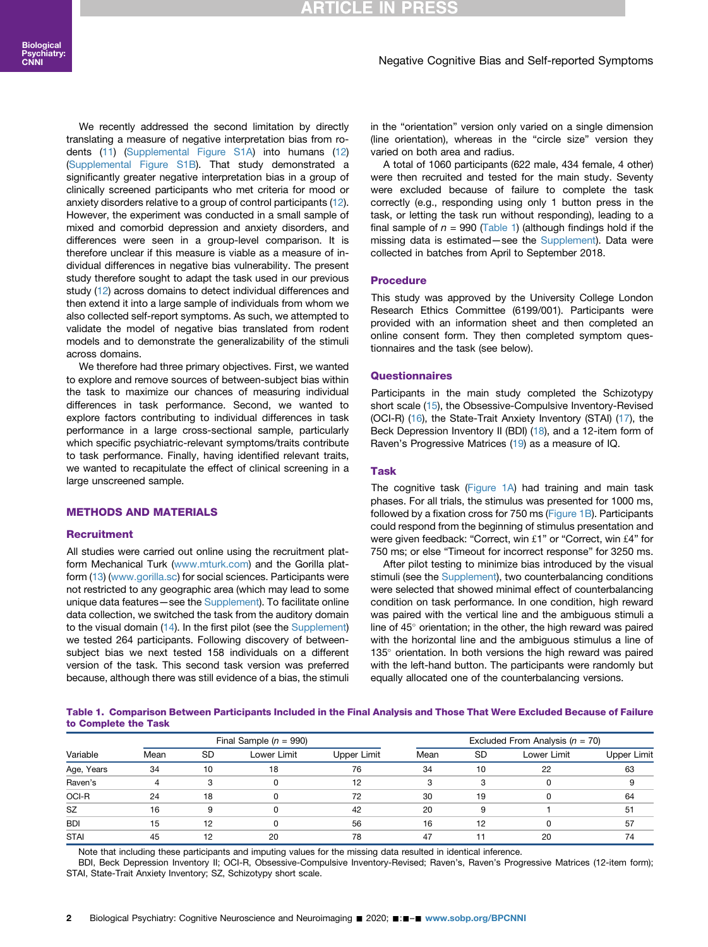#### Negative Cognitive Bias and Self-reported Symptoms

We recently addressed the second limitation by directly translating a measure of negative interpretation bias from rodents ([11\)](#page-8-7) ([Supplemental Figure S1A\)](#page-8-8) into humans ([12](#page-8-9)) ([Supplemental Figure S1B\)](#page-8-8). That study demonstrated a significantly greater negative interpretation bias in a group of clinically screened participants who met criteria for mood or anxiety disorders relative to a group of control participants ([12](#page-8-9)). However, the experiment was conducted in a small sample of mixed and comorbid depression and anxiety disorders, and differences were seen in a group-level comparison. It is therefore unclear if this measure is viable as a measure of individual differences in negative bias vulnerability. The present study therefore sought to adapt the task used in our previous study [\(12\)](#page-8-9) across domains to detect individual differences and then extend it into a large sample of individuals from whom we also collected self-report symptoms. As such, we attempted to validate the model of negative bias translated from rodent models and to demonstrate the generalizability of the stimuli across domains.

We therefore had three primary objectives. First, we wanted to explore and remove sources of between-subject bias within the task to maximize our chances of measuring individual differences in task performance. Second, we wanted to explore factors contributing to individual differences in task performance in a large cross-sectional sample, particularly which specific psychiatric-relevant symptoms/traits contribute to task performance. Finally, having identified relevant traits, we wanted to recapitulate the effect of clinical screening in a large unscreened sample.

#### METHODS AND MATERIALS

#### **Recruitment**

All studies were carried out online using the recruitment platform Mechanical Turk ([www.mturk.com\)](http://www.mturk.com) and the Gorilla platform [\(13](#page-8-10)) ([www.gorilla.sc\)](http://www.gorilla.sc) for social sciences. Participants were not restricted to any geographic area (which may lead to some unique data features—see the [Supplement](#page-8-8)). To facilitate online data collection, we switched the task from the auditory domain to the visual domain ([14](#page-8-11)). In the first pilot (see the [Supplement](#page-8-8)) we tested 264 participants. Following discovery of betweensubject bias we next tested 158 individuals on a different version of the task. This second task version was preferred because, although there was still evidence of a bias, the stimuli in the "orientation" version only varied on a single dimension (line orientation), whereas in the "circle size" version they varied on both area and radius.

A total of 1060 participants (622 male, 434 female, 4 other) were then recruited and tested for the main study. Seventy were excluded because of failure to complete the task correctly (e.g., responding using only 1 button press in the task, or letting the task run without responding), leading to a final sample of  $n = 990$  ([Table 1\)](#page-1-0) (although findings hold if the missing data is estimated—see the [Supplement](#page-8-8)). Data were collected in batches from April to September 2018.

#### Procedure

This study was approved by the University College London Research Ethics Committee (6199/001). Participants were provided with an information sheet and then completed an online consent form. They then completed symptom questionnaires and the task (see below).

#### **Questionnaires**

Participants in the main study completed the Schizotypy short scale [\(15\)](#page-8-12), the Obsessive-Compulsive Inventory-Revised (OCI-R) ([16\)](#page-8-13), the State-Trait Anxiety Inventory (STAI) [\(17](#page-8-14)), the Beck Depression Inventory II (BDI) ([18\)](#page-8-15), and a 12-item form of Raven's Progressive Matrices [\(19\)](#page-8-16) as a measure of IQ.

#### Task

The cognitive task ([Figure 1A\)](#page-2-0) had training and main task phases. For all trials, the stimulus was presented for 1000 ms, followed by a fixation cross for 750 ms [\(Figure 1B\)](#page-2-0). Participants could respond from the beginning of stimulus presentation and were given feedback: "Correct, win £1" or "Correct, win £4" for 750 ms; or else "Timeout for incorrect response" for 3250 ms.

After pilot testing to minimize bias introduced by the visual stimuli (see the [Supplement](#page-8-8)), two counterbalancing conditions were selected that showed minimal effect of counterbalancing condition on task performance. In one condition, high reward was paired with the vertical line and the ambiguous stimuli a line of  $45^\circ$  orientation; in the other, the high reward was paired with the horizontal line and the ambiguous stimulus a line of  $135^\circ$  orientation. In both versions the high reward was paired with the left-hand button. The participants were randomly but equally allocated one of the counterbalancing versions.

<span id="page-1-0"></span>Table 1. Comparison Between Participants Included in the Final Analysis and Those That Were Excluded Because of Failure to Complete the Task

|             | Final Sample $(n = 990)$ |    |             |             | Excluded From Analysis ( $n = 70$ ) |           |             |             |
|-------------|--------------------------|----|-------------|-------------|-------------------------------------|-----------|-------------|-------------|
| Variable    | Mean                     | SD | Lower Limit | Upper Limit | Mean                                | <b>SD</b> | Lower Limit | Upper Limit |
| Age, Years  | 34                       | 10 | 18          | 76          | 34                                  | 10        | 22          | 63          |
| Raven's     |                          |    |             | 12          | 3                                   | з         |             |             |
| OCI-R       | 24                       | 18 |             | 72          | 30                                  | 19        |             | 64          |
| <b>SZ</b>   | 16                       |    |             | 42          | 20                                  |           |             | 51          |
| <b>BDI</b>  | 15                       | 12 |             | 56          | 16                                  | 12        |             | 57          |
| <b>STAI</b> | 45                       |    | 20          | 78          | 47                                  |           | 20          | 74          |

Note that including these participants and imputing values for the missing data resulted in identical inference.

BDI, Beck Depression Inventory II; OCI-R, Obsessive-Compulsive Inventory-Revised; Raven's, Raven's Progressive Matrices (12-item form); STAI, State-Trait Anxiety Inventory; SZ, Schizotypy short scale.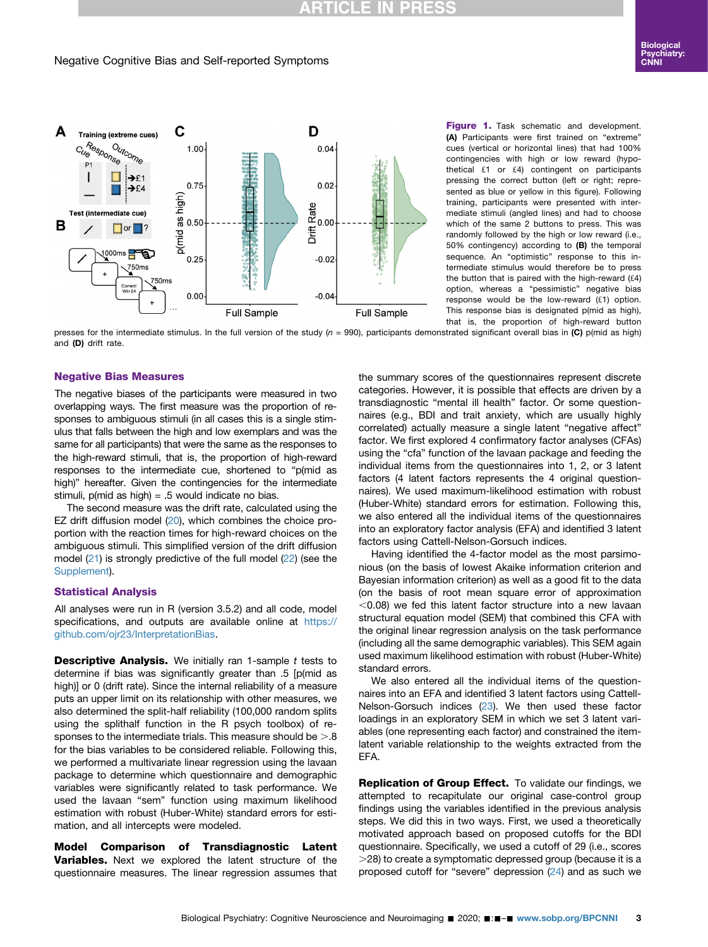## RTICLE IN

#### Negative Cognitive Bias and Self-reported Symptoms

<span id="page-2-0"></span>

Figure 1. Task schematic and development. (A) Participants were first trained on "extreme" cues (vertical or horizontal lines) that had 100% contingencies with high or low reward (hypothetical £1 or £4) contingent on participants pressing the correct button (left or right; represented as blue or yellow in this figure). Following training, participants were presented with intermediate stimuli (angled lines) and had to choose which of the same 2 buttons to press. This was randomly followed by the high or low reward (i.e., 50% contingency) according to (B) the temporal sequence. An "optimistic" response to this intermediate stimulus would therefore be to press the button that is paired with the high-reward  $(f4)$ option, whereas a "pessimistic" negative bias response would be the low-reward  $(f.1)$  option. This response bias is designated p(mid as high), that is, the proportion of high-reward button

presses for the intermediate stimulus. In the full version of the study  $(n = 990)$ , participants demonstrated significant overall bias in (C) p(mid as high) and (D) drift rate.

#### Negative Bias Measures

The negative biases of the participants were measured in two overlapping ways. The first measure was the proportion of responses to ambiguous stimuli (in all cases this is a single stimulus that falls between the high and low exemplars and was the same for all participants) that were the same as the responses to the high-reward stimuli, that is, the proportion of high-reward responses to the intermediate cue, shortened to "p(mid as high)" hereafter. Given the contingencies for the intermediate stimuli,  $p$ (mid as high) = .5 would indicate no bias.

The second measure was the drift rate, calculated using the EZ drift diffusion model ([20](#page-8-17)), which combines the choice proportion with the reaction times for high-reward choices on the ambiguous stimuli. This simplified version of the drift diffusion model  $(21)$  $(21)$  $(21)$  is strongly predictive of the full model  $(22)$  (see the [Supplement](#page-8-8)).

#### Statistical Analysis

All analyses were run in R (version 3.5.2) and all code, model specifications, and outputs are available online at [https://](https://github.com/ojr23/InterpretationBias) [github.com/ojr23/InterpretationBias.](https://github.com/ojr23/InterpretationBias)

**Descriptive Analysis.** We initially ran 1-sample t tests to determine if bias was significantly greater than .5 [p(mid as high)] or 0 (drift rate). Since the internal reliability of a measure puts an upper limit on its relationship with other measures, we also determined the split-half reliability (100,000 random splits using the splithalf function in the R psych toolbox) of responses to the intermediate trials. This measure should be  $> 0.8$ for the bias variables to be considered reliable. Following this, we performed a multivariate linear regression using the lavaan package to determine which questionnaire and demographic variables were significantly related to task performance. We used the lavaan "sem" function using maximum likelihood estimation with robust (Huber-White) standard errors for estimation, and all intercepts were modeled.

Model Comparison of Transdiagnostic Latent Variables. Next we explored the latent structure of the questionnaire measures. The linear regression assumes that

the summary scores of the questionnaires represent discrete categories. However, it is possible that effects are driven by a transdiagnostic "mental ill health" factor. Or some questionnaires (e.g., BDI and trait anxiety, which are usually highly correlated) actually measure a single latent "negative affect" factor. We first explored 4 confirmatory factor analyses (CFAs) using the "cfa" function of the lavaan package and feeding the individual items from the questionnaires into 1, 2, or 3 latent factors (4 latent factors represents the 4 original questionnaires). We used maximum-likelihood estimation with robust (Huber-White) standard errors for estimation. Following this, we also entered all the individual items of the questionnaires into an exploratory factor analysis (EFA) and identified 3 latent factors using Cattell-Nelson-Gorsuch indices.

Having identified the 4-factor model as the most parsimonious (on the basis of lowest Akaike information criterion and Bayesian information criterion) as well as a good fit to the data (on the basis of root mean square error of approximation  $<$  0.08) we fed this latent factor structure into a new lavaan structural equation model (SEM) that combined this CFA with the original linear regression analysis on the task performance (including all the same demographic variables). This SEM again used maximum likelihood estimation with robust (Huber-White) standard errors.

We also entered all the individual items of the questionnaires into an EFA and identified 3 latent factors using Cattell-Nelson-Gorsuch indices [\(23](#page-8-20)). We then used these factor loadings in an exploratory SEM in which we set 3 latent variables (one representing each factor) and constrained the itemlatent variable relationship to the weights extracted from the EFA.

Replication of Group Effect. To validate our findings, we attempted to recapitulate our original case-control group findings using the variables identified in the previous analysis steps. We did this in two ways. First, we used a theoretically motivated approach based on proposed cutoffs for the BDI questionnaire. Specifically, we used a cutoff of 29 (i.e., scores .28) to create a symptomatic depressed group (because it is a proposed cutoff for "severe" depression ([24\)](#page-8-21) and as such we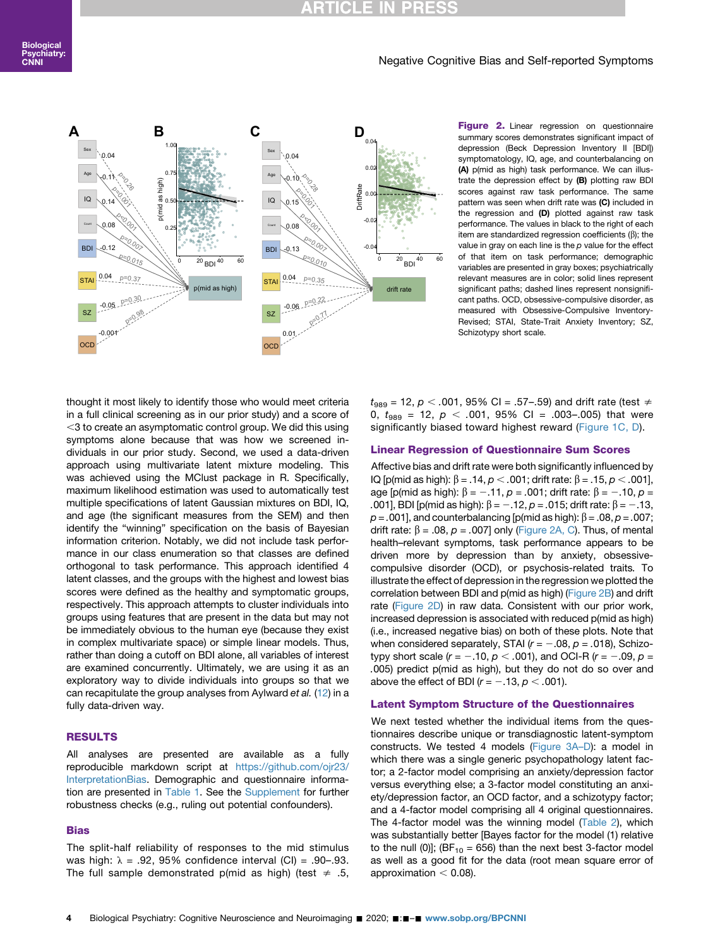## **RTICLE IN**

#### Negative Cognitive Bias and Self-reported Symptoms

<span id="page-3-0"></span>

summary scores demonstrates significant impact of depression (Beck Depression Inventory II [BDI]) symptomatology, IQ, age, and counterbalancing on (A) p(mid as high) task performance. We can illustrate the depression effect by (B) plotting raw BDI scores against raw task performance. The same pattern was seen when drift rate was (C) included in the regression and (D) plotted against raw task performance. The values in black to the right of each item are standardized regression coefficients  $(\beta)$ ; the value in gray on each line is the p value for the effect of that item on task performance; demographic variables are presented in gray boxes; psychiatrically relevant measures are in color; solid lines represent significant paths; dashed lines represent nonsignificant paths. OCD, obsessive-compulsive disorder, as measured with Obsessive-Compulsive Inventory-Revised; STAI, State-Trait Anxiety Inventory; SZ, Schizotypy short scale.

thought it most likely to identify those who would meet criteria in a full clinical screening as in our prior study) and a score of  $<$ 3 to create an asymptomatic control group. We did this using symptoms alone because that was how we screened individuals in our prior study. Second, we used a data-driven approach using multivariate latent mixture modeling. This was achieved using the MClust package in R. Specifically, maximum likelihood estimation was used to automatically test multiple specifications of latent Gaussian mixtures on BDI, IQ, and age (the significant measures from the SEM) and then identify the "winning" specification on the basis of Bayesian information criterion. Notably, we did not include task performance in our class enumeration so that classes are defined orthogonal to task performance. This approach identified 4 latent classes, and the groups with the highest and lowest bias scores were defined as the healthy and symptomatic groups, respectively. This approach attempts to cluster individuals into groups using features that are present in the data but may not be immediately obvious to the human eye (because they exist in complex multivariate space) or simple linear models. Thus, rather than doing a cutoff on BDI alone, all variables of interest are examined concurrently. Ultimately, we are using it as an exploratory way to divide individuals into groups so that we can recapitulate the group analyses from Aylward et al. ([12](#page-8-9)) in a fully data-driven way.

#### RESULTS

All analyses are presented are available as a fully reproducible markdown script at [https://github.com/ojr23/](https://github.com/ojr23/InterpretationBias) [InterpretationBias](https://github.com/ojr23/InterpretationBias). Demographic and questionnaire information are presented in [Table 1](#page-1-0). See the [Supplement](#page-8-8) for further robustness checks (e.g., ruling out potential confounders).

#### **Bias**

The split-half reliability of responses to the mid stimulus was high:  $\lambda = .92$ , 95% confidence interval (CI) = .90-.93. The full sample demonstrated p(mid as high) (test  $\neq$  .5,  $t_{989}$  = 12,  $p < .001$ , 95% CI = .57–.59) and drift rate (test  $\neq$ 0,  $t_{989}$  = 12,  $p < .001$ , 95% CI = .003-.005) that were significantly biased toward highest reward [\(Figure 1C, D](#page-2-0)).

#### Linear Regression of Questionnaire Sum Scores

Affective bias and drift rate were both significantly influenced by IQ [p(mid as high): β = .14,  $p < .001$ ; drift rate: β = .15,  $p < .001$ ], age [p(mid as high):  $\beta = -.11$ ,  $p = .001$ ; drift rate:  $\beta = -.10$ ,  $p =$ .001], BDI [p(mid as high):  $\beta = -.12$ ,  $p = .015$ ; drift rate:  $\beta = -.13$ ,  $p = .001$ ], and counterbalancing [p(mid as high):  $\beta = .08$ ,  $p = .007$ ; drift rate:  $\beta = .08$ ,  $p = .007$ ] only [\(Figure 2A, C](#page-3-0)). Thus, of mental health–relevant symptoms, task performance appears to be driven more by depression than by anxiety, obsessivecompulsive disorder (OCD), or psychosis-related traits. To illustrate the effect of depression in the regression we plotted the correlation between BDI and p(mid as high) [\(Figure 2B](#page-3-0)) and drift rate [\(Figure 2D](#page-3-0)) in raw data. Consistent with our prior work, increased depression is associated with reduced p(mid as high) (i.e., increased negative bias) on both of these plots. Note that when considered separately, STAI ( $r = -.08$ ,  $p = .018$ ), Schizotypy short scale ( $r = -.10$ ,  $p < .001$ ), and OCI-R ( $r = -.09$ ,  $p =$ .005) predict p(mid as high), but they do not do so over and above the effect of BDI ( $r = -.13$ ,  $p < .001$ ).

#### Latent Symptom Structure of the Questionnaires

We next tested whether the individual items from the questionnaires describe unique or transdiagnostic latent-symptom constructs. We tested 4 models [\(Figure 3A](#page-4-0)–D): a model in which there was a single generic psychopathology latent factor; a 2-factor model comprising an anxiety/depression factor versus everything else; a 3-factor model constituting an anxiety/depression factor, an OCD factor, and a schizotypy factor; and a 4-factor model comprising all 4 original questionnaires. The 4-factor model was the winning model ([Table 2\)](#page-5-0), which was substantially better [Bayes factor for the model (1) relative to the null (0)]; (BF<sub>10</sub> = 656) than the next best 3-factor model as well as a good fit for the data (root mean square error of approximation  $<$  0.08).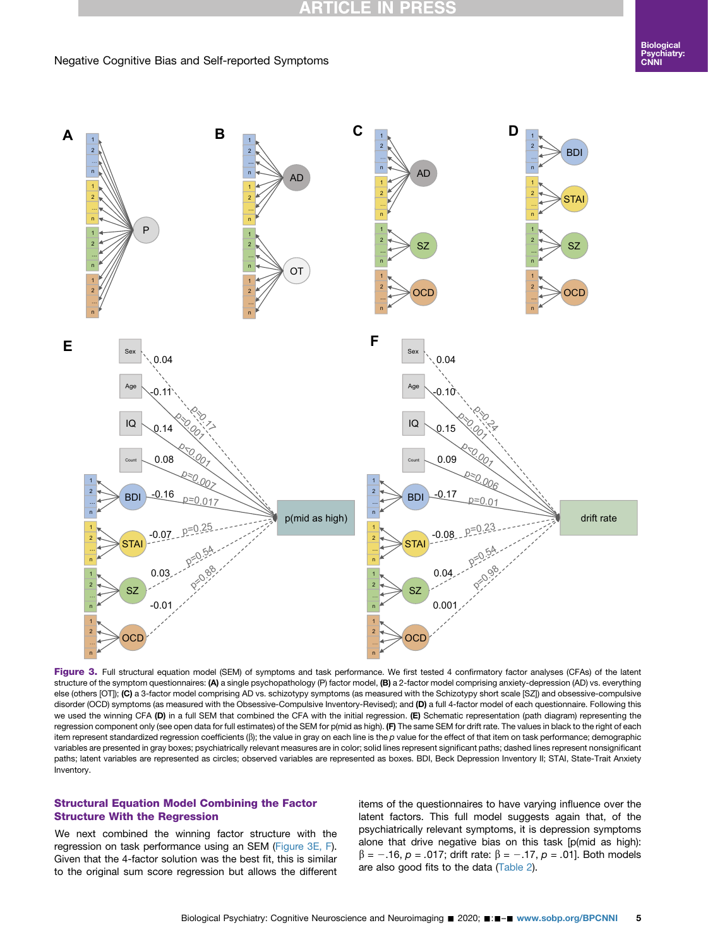## **RTICLE IN PRESS**

#### Negative Cognitive Bias and Self-reported Symptoms

<span id="page-4-0"></span>

Figure 3. Full structural equation model (SEM) of symptoms and task performance. We first tested 4 confirmatory factor analyses (CFAs) of the latent structure of the symptom questionnaires: (A) a single psychopathology (P) factor model, (B) a 2-factor model comprising anxiety-depression (AD) vs. everything else (others [OT]); (C) a 3-factor model comprising AD vs. schizotypy symptoms (as measured with the Schizotypy short scale [SZ]) and obsessive-compulsive disorder (OCD) symptoms (as measured with the Obsessive-Compulsive Inventory-Revised); and (D) a full 4-factor model of each questionnaire. Following this we used the winning CFA (D) in a full SEM that combined the CFA with the initial regression. (E) Schematic representation (path diagram) representing the regression component only (see open data for full estimates) of the SEM for p(mid as high). (F) The same SEM for drift rate. The values in black to the right of each item represent standardized regression coefficients ( $\beta$ ); the value in gray on each line is the p value for the effect of that item on task performance; demographic variables are presented in gray boxes; psychiatrically relevant measures are in color; solid lines represent significant paths; dashed lines represent nonsignificant paths; latent variables are represented as circles; observed variables are represented as boxes. BDI, Beck Depression Inventory II; STAI, State-Trait Anxiety Inventory.

#### Structural Equation Model Combining the Factor Structure With the Regression

We next combined the winning factor structure with the regression on task performance using an SEM ([Figure 3E, F](#page-4-0)). Given that the 4-factor solution was the best fit, this is similar to the original sum score regression but allows the different items of the questionnaires to have varying influence over the latent factors. This full model suggests again that, of the psychiatrically relevant symptoms, it is depression symptoms alone that drive negative bias on this task [p(mid as high):  $\beta$  = -.16, p = .017; drift rate:  $\beta$  = -.17, p = .01]. Both models are also good fits to the data ([Table 2\)](#page-5-0).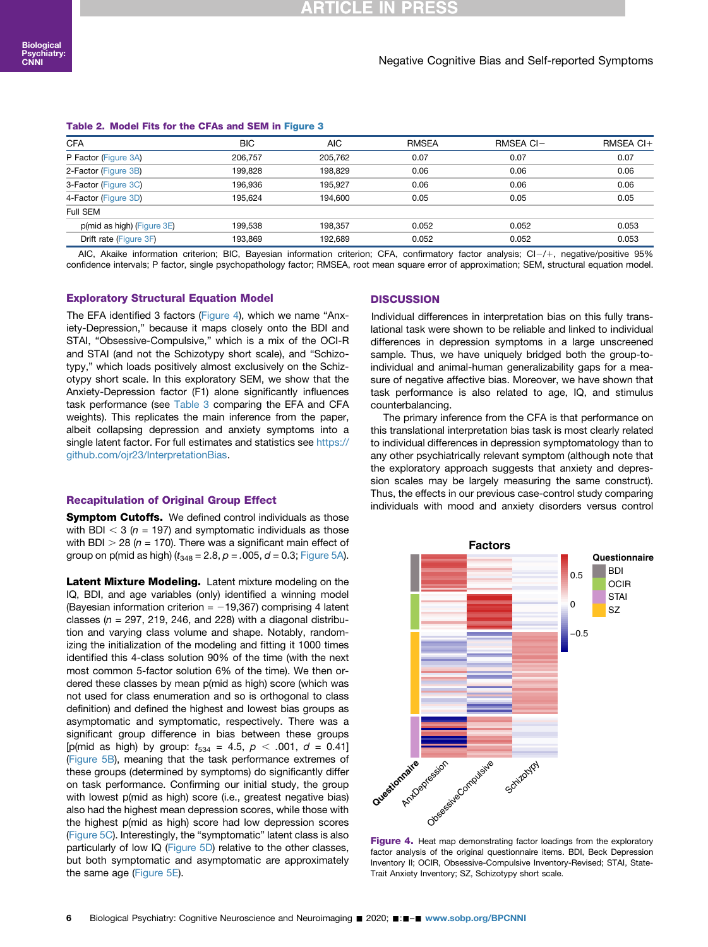#### <span id="page-5-0"></span>Table 2. Model Fits for the CFAs and SEM in [Figure 3](#page-4-0)

| <b>CFA</b>                 | <b>BIC</b> | <b>AIC</b> | <b>RMSEA</b> | RMSEA CI- | RMSEA CI+ |
|----------------------------|------------|------------|--------------|-----------|-----------|
| P Factor (Figure 3A)       | 206.757    | 205.762    | 0.07         | 0.07      | 0.07      |
| 2-Factor (Figure 3B)       | 199.828    | 198.829    | 0.06         | 0.06      | 0.06      |
| 3-Factor (Figure 3C)       | 196.936    | 195.927    | 0.06         | 0.06      | 0.06      |
| 4-Factor (Figure 3D)       | 195.624    | 194.600    | 0.05         | 0.05      | 0.05      |
| Full SEM                   |            |            |              |           |           |
| p(mid as high) (Figure 3E) | 199.538    | 198,357    | 0.052        | 0.052     | 0.053     |
| Drift rate (Figure 3F)     | 193.869    | 192.689    | 0.052        | 0.052     | 0.053     |

AIC, Akaike information criterion; BIC, Bayesian information criterion; CFA, confirmatory factor analysis; CI-/+, negative/positive 95% confidence intervals; P factor, single psychopathology factor; RMSEA, root mean square error of approximation; SEM, structural equation model.

#### Exploratory Structural Equation Model

The EFA identified 3 factors [\(Figure 4](#page-5-1)), which we name "Anxiety-Depression," because it maps closely onto the BDI and STAI, "Obsessive-Compulsive," which is a mix of the OCI-R and STAI (and not the Schizotypy short scale), and "Schizotypy," which loads positively almost exclusively on the Schizotypy short scale. In this exploratory SEM, we show that the Anxiety-Depression factor (F1) alone significantly influences task performance (see [Table 3](#page-6-0) comparing the EFA and CFA weights). This replicates the main inference from the paper, albeit collapsing depression and anxiety symptoms into a single latent factor. For full estimates and statistics see [https://](https://github.com/ojr23/InterpretationBias) [github.com/ojr23/InterpretationBias.](https://github.com/ojr23/InterpretationBias)

#### Recapitulation of Original Group Effect

**Symptom Cutoffs.** We defined control individuals as those with BDI  $<$  3 (n = 197) and symptomatic individuals as those with BDI  $>$  28 (n = 170). There was a significant main effect of group on p(mid as high)  $(t_{348} = 2.8, p = .005, d = 0.3;$  [Figure 5A](#page-6-1)).

Latent Mixture Modeling. Latent mixture modeling on the IQ, BDI, and age variables (only) identified a winning model (Bayesian information criterion  $= -19,367$ ) comprising 4 latent classes ( $n = 297$ , 219, 246, and 228) with a diagonal distribution and varying class volume and shape. Notably, randomizing the initialization of the modeling and fitting it 1000 times identified this 4-class solution 90% of the time (with the next most common 5-factor solution 6% of the time). We then ordered these classes by mean p(mid as high) score (which was not used for class enumeration and so is orthogonal to class definition) and defined the highest and lowest bias groups as asymptomatic and symptomatic, respectively. There was a significant group difference in bias between these groups [p(mid as high) by group:  $t_{534} = 4.5$ ,  $p < .001$ ,  $d = 0.41$ ] ([Figure 5B\)](#page-6-1), meaning that the task performance extremes of these groups (determined by symptoms) do significantly differ on task performance. Confirming our initial study, the group with lowest p(mid as high) score (i.e., greatest negative bias) also had the highest mean depression scores, while those with the highest p(mid as high) score had low depression scores ([Figure 5C](#page-6-1)). Interestingly, the "symptomatic" latent class is also particularly of low IQ ([Figure 5D\)](#page-6-1) relative to the other classes, but both symptomatic and asymptomatic are approximately the same age [\(Figure 5E](#page-6-1)).

#### **DISCUSSION**

Individual differences in interpretation bias on this fully translational task were shown to be reliable and linked to individual differences in depression symptoms in a large unscreened sample. Thus, we have uniquely bridged both the group-toindividual and animal-human generalizability gaps for a measure of negative affective bias. Moreover, we have shown that task performance is also related to age, IQ, and stimulus counterbalancing.

The primary inference from the CFA is that performance on this translational interpretation bias task is most clearly related to individual differences in depression symptomatology than to any other psychiatrically relevant symptom (although note that the exploratory approach suggests that anxiety and depression scales may be largely measuring the same construct). Thus, the effects in our previous case-control study comparing individuals with mood and anxiety disorders versus control

<span id="page-5-1"></span>

Figure 4. Heat map demonstrating factor loadings from the exploratory factor analysis of the original questionnaire items. BDI, Beck Depression Inventory II; OCIR, Obsessive-Compulsive Inventory-Revised; STAI, State-Trait Anxiety Inventory; SZ, Schizotypy short scale.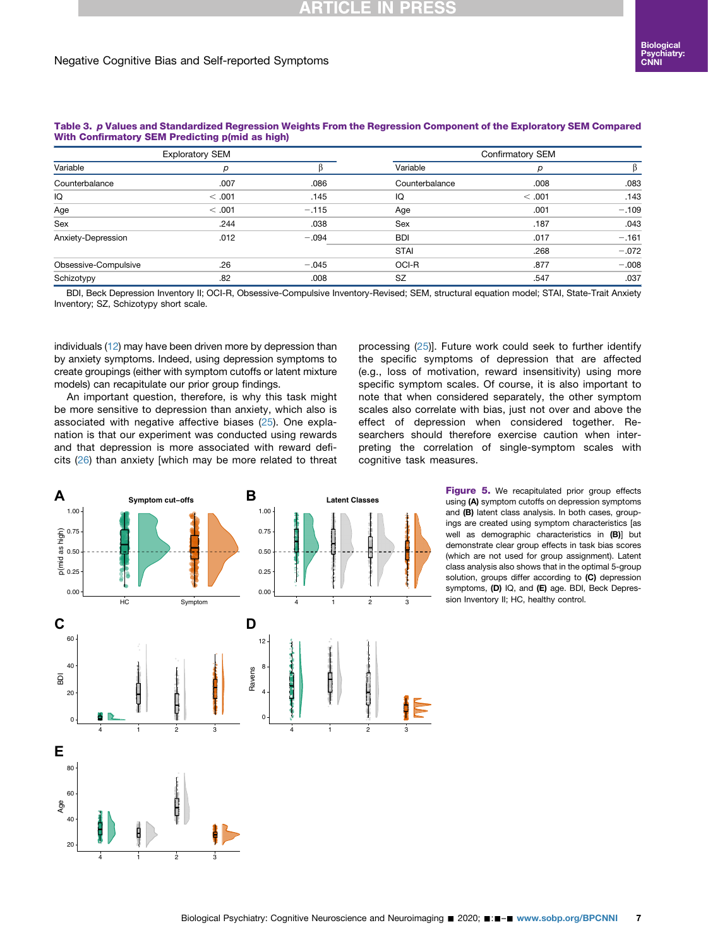#### Negative Cognitive Bias and Self-reported Symptoms

|                      | <b>Exploratory SEM</b> |         | Confirmatory SEM |        |         |  |
|----------------------|------------------------|---------|------------------|--------|---------|--|
| Variable             |                        |         | Variable         | D      |         |  |
| Counterbalance       | .007                   | .086    | Counterbalance   | .008   | .083    |  |
| IQ                   | < .001                 | .145    | IQ               | < .001 | .143    |  |
| Age                  | < .001                 | $-.115$ | Age              | .001   | $-.109$ |  |
| Sex                  | .244                   | .038    | Sex              | .187   | .043    |  |
| Anxiety-Depression   | .012                   | $-.094$ | <b>BDI</b>       | .017   | $-.161$ |  |
|                      |                        |         | <b>STAI</b>      | .268   | $-.072$ |  |
| Obsessive-Compulsive | .26                    | $-.045$ | OCI-R            | .877   | $-.008$ |  |
| Schizotypy           | .82                    | .008    | <b>SZ</b>        | .547   | .037    |  |

<span id="page-6-0"></span>Table 3. p Values and Standardized Regression Weights From the Regression Component of the Exploratory SEM Compared With Confirmatory SEM Predicting p(mid as high)

BDI, Beck Depression Inventory II; OCI-R, Obsessive-Compulsive Inventory-Revised; SEM, structural equation model; STAI, State-Trait Anxiety Inventory; SZ, Schizotypy short scale.

individuals ([12\)](#page-8-9) may have been driven more by depression than by anxiety symptoms. Indeed, using depression symptoms to create groupings (either with symptom cutoffs or latent mixture models) can recapitulate our prior group findings.

An important question, therefore, is why this task might be more sensitive to depression than anxiety, which also is associated with negative affective biases ([25\)](#page-8-22). One explanation is that our experiment was conducted using rewards and that depression is more associated with reward deficits [\(26\)](#page-8-23) than anxiety [which may be more related to threat

processing ([25](#page-8-22))]. Future work could seek to further identify the specific symptoms of depression that are affected (e.g., loss of motivation, reward insensitivity) using more specific symptom scales. Of course, it is also important to note that when considered separately, the other symptom scales also correlate with bias, just not over and above the effect of depression when considered together. Researchers should therefore exercise caution when interpreting the correlation of single-symptom scales with cognitive task measures.

<span id="page-6-1"></span>

Figure 5. We recapitulated prior group effects using (A) symptom cutoffs on depression symptoms and (B) latent class analysis. In both cases, groupings are created using symptom characteristics [as well as demographic characteristics in (B)] but demonstrate clear group effects in task bias scores (which are not used for group assignment). Latent class analysis also shows that in the optimal 5-group solution, groups differ according to (C) depression symptoms, (D) IQ, and (E) age. BDI, Beck Depression Inventory II; HC, healthy control.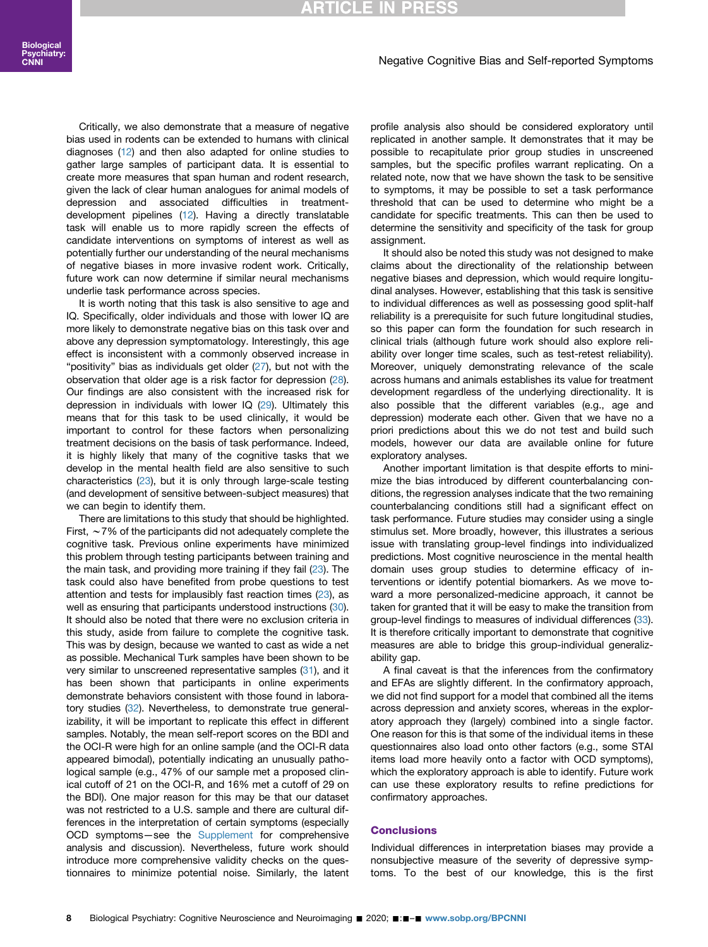## **RTICLE IN PRES**

#### Negative Cognitive Bias and Self-reported Symptoms

Critically, we also demonstrate that a measure of negative bias used in rodents can be extended to humans with clinical diagnoses ([12](#page-8-9)) and then also adapted for online studies to gather large samples of participant data. It is essential to create more measures that span human and rodent research, given the lack of clear human analogues for animal models of depression and associated difficulties in treatmentdevelopment pipelines [\(12\)](#page-8-9). Having a directly translatable task will enable us to more rapidly screen the effects of candidate interventions on symptoms of interest as well as potentially further our understanding of the neural mechanisms of negative biases in more invasive rodent work. Critically, future work can now determine if similar neural mechanisms underlie task performance across species.

It is worth noting that this task is also sensitive to age and IQ. Specifically, older individuals and those with lower IQ are more likely to demonstrate negative bias on this task over and above any depression symptomatology. Interestingly, this age effect is inconsistent with a commonly observed increase in "positivity" bias as individuals get older ([27\)](#page-8-24), but not with the observation that older age is a risk factor for depression ([28](#page-8-25)). Our findings are also consistent with the increased risk for depression in individuals with lower IQ [\(29\)](#page-8-26). Ultimately this means that for this task to be used clinically, it would be important to control for these factors when personalizing treatment decisions on the basis of task performance. Indeed, it is highly likely that many of the cognitive tasks that we develop in the mental health field are also sensitive to such characteristics [\(23](#page-8-20)), but it is only through large-scale testing (and development of sensitive between-subject measures) that we can begin to identify them.

There are limitations to this study that should be highlighted. First,  $\sim$  7% of the participants did not adequately complete the cognitive task. Previous online experiments have minimized this problem through testing participants between training and the main task, and providing more training if they fail [\(23](#page-8-20)). The task could also have benefited from probe questions to test attention and tests for implausibly fast reaction times ([23](#page-8-20)), as well as ensuring that participants understood instructions ([30](#page-8-27)). It should also be noted that there were no exclusion criteria in this study, aside from failure to complete the cognitive task. This was by design, because we wanted to cast as wide a net as possible. Mechanical Turk samples have been shown to be very similar to unscreened representative samples [\(31\)](#page-8-28), and it has been shown that participants in online experiments demonstrate behaviors consistent with those found in labora-tory studies ([32\)](#page-8-29). Nevertheless, to demonstrate true generalizability, it will be important to replicate this effect in different samples. Notably, the mean self-report scores on the BDI and the OCI-R were high for an online sample (and the OCI-R data appeared bimodal), potentially indicating an unusually pathological sample (e.g., 47% of our sample met a proposed clinical cutoff of 21 on the OCI-R, and 16% met a cutoff of 29 on the BDI). One major reason for this may be that our dataset was not restricted to a U.S. sample and there are cultural differences in the interpretation of certain symptoms (especially OCD symptoms-see the [Supplement](#page-8-8) for comprehensive analysis and discussion). Nevertheless, future work should introduce more comprehensive validity checks on the questionnaires to minimize potential noise. Similarly, the latent

profile analysis also should be considered exploratory until replicated in another sample. It demonstrates that it may be possible to recapitulate prior group studies in unscreened samples, but the specific profiles warrant replicating. On a related note, now that we have shown the task to be sensitive to symptoms, it may be possible to set a task performance threshold that can be used to determine who might be a candidate for specific treatments. This can then be used to determine the sensitivity and specificity of the task for group assignment.

It should also be noted this study was not designed to make claims about the directionality of the relationship between negative biases and depression, which would require longitudinal analyses. However, establishing that this task is sensitive to individual differences as well as possessing good split-half reliability is a prerequisite for such future longitudinal studies, so this paper can form the foundation for such research in clinical trials (although future work should also explore reliability over longer time scales, such as test-retest reliability). Moreover, uniquely demonstrating relevance of the scale across humans and animals establishes its value for treatment development regardless of the underlying directionality. It is also possible that the different variables (e.g., age and depression) moderate each other. Given that we have no a priori predictions about this we do not test and build such models, however our data are available online for future exploratory analyses.

Another important limitation is that despite efforts to minimize the bias introduced by different counterbalancing conditions, the regression analyses indicate that the two remaining counterbalancing conditions still had a significant effect on task performance. Future studies may consider using a single stimulus set. More broadly, however, this illustrates a serious issue with translating group-level findings into individualized predictions. Most cognitive neuroscience in the mental health domain uses group studies to determine efficacy of interventions or identify potential biomarkers. As we move toward a more personalized-medicine approach, it cannot be taken for granted that it will be easy to make the transition from group-level findings to measures of individual differences [\(33\)](#page-8-30). It is therefore critically important to demonstrate that cognitive measures are able to bridge this group-individual generalizability gap.

A final caveat is that the inferences from the confirmatory and EFAs are slightly different. In the confirmatory approach, we did not find support for a model that combined all the items across depression and anxiety scores, whereas in the exploratory approach they (largely) combined into a single factor. One reason for this is that some of the individual items in these questionnaires also load onto other factors (e.g., some STAI items load more heavily onto a factor with OCD symptoms), which the exploratory approach is able to identify. Future work can use these exploratory results to refine predictions for confirmatory approaches.

#### **Conclusions**

Individual differences in interpretation biases may provide a nonsubjective measure of the severity of depressive symptoms. To the best of our knowledge, this is the first